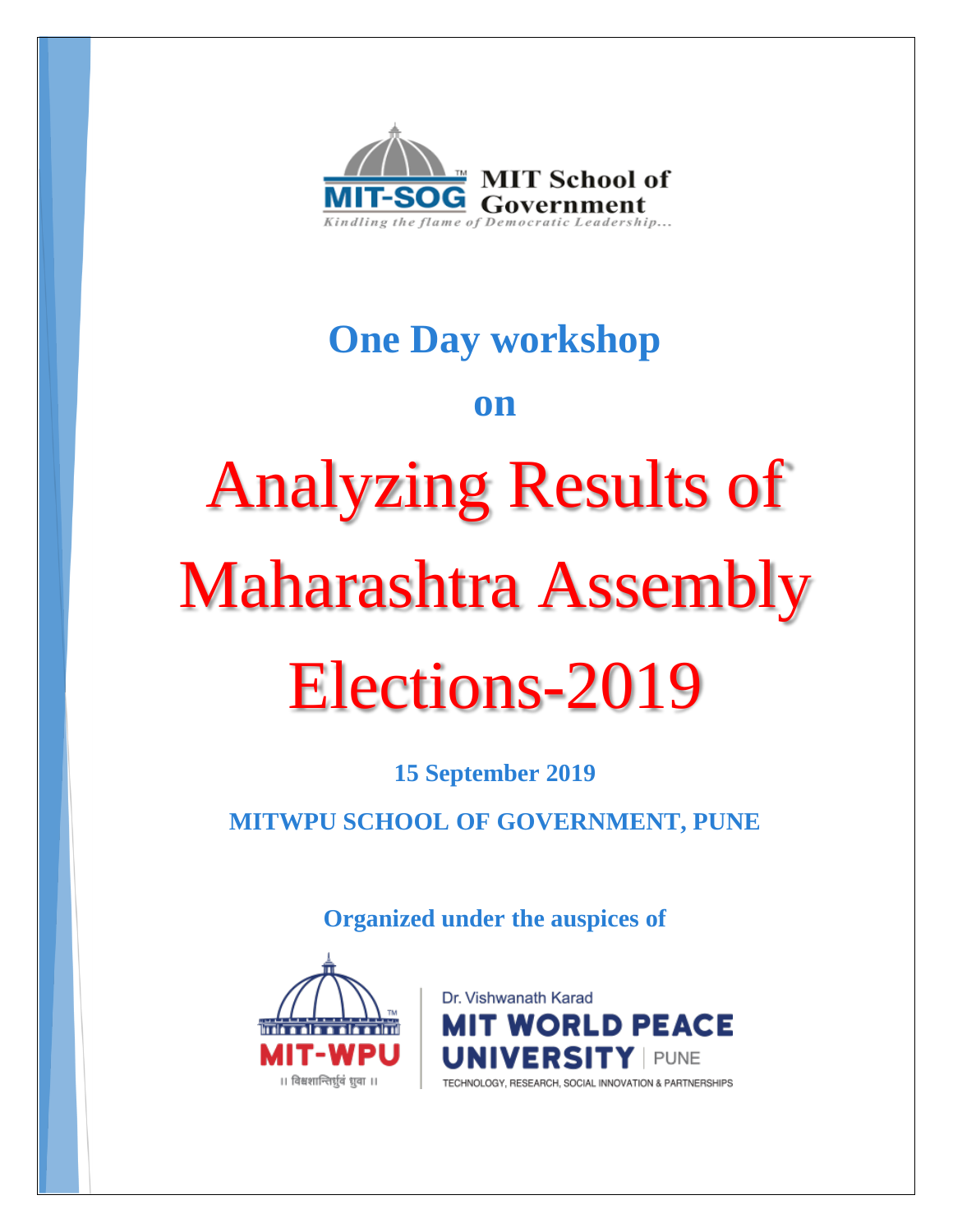

## **One Day workshop**

### **on**

# Analyzing Results of Maharashtra Assembly Elections-2019

**15 September 2019**

**MITWPU SCHOOL OF GOVERNMENT, PUNE**

**Organized under the auspices of** 



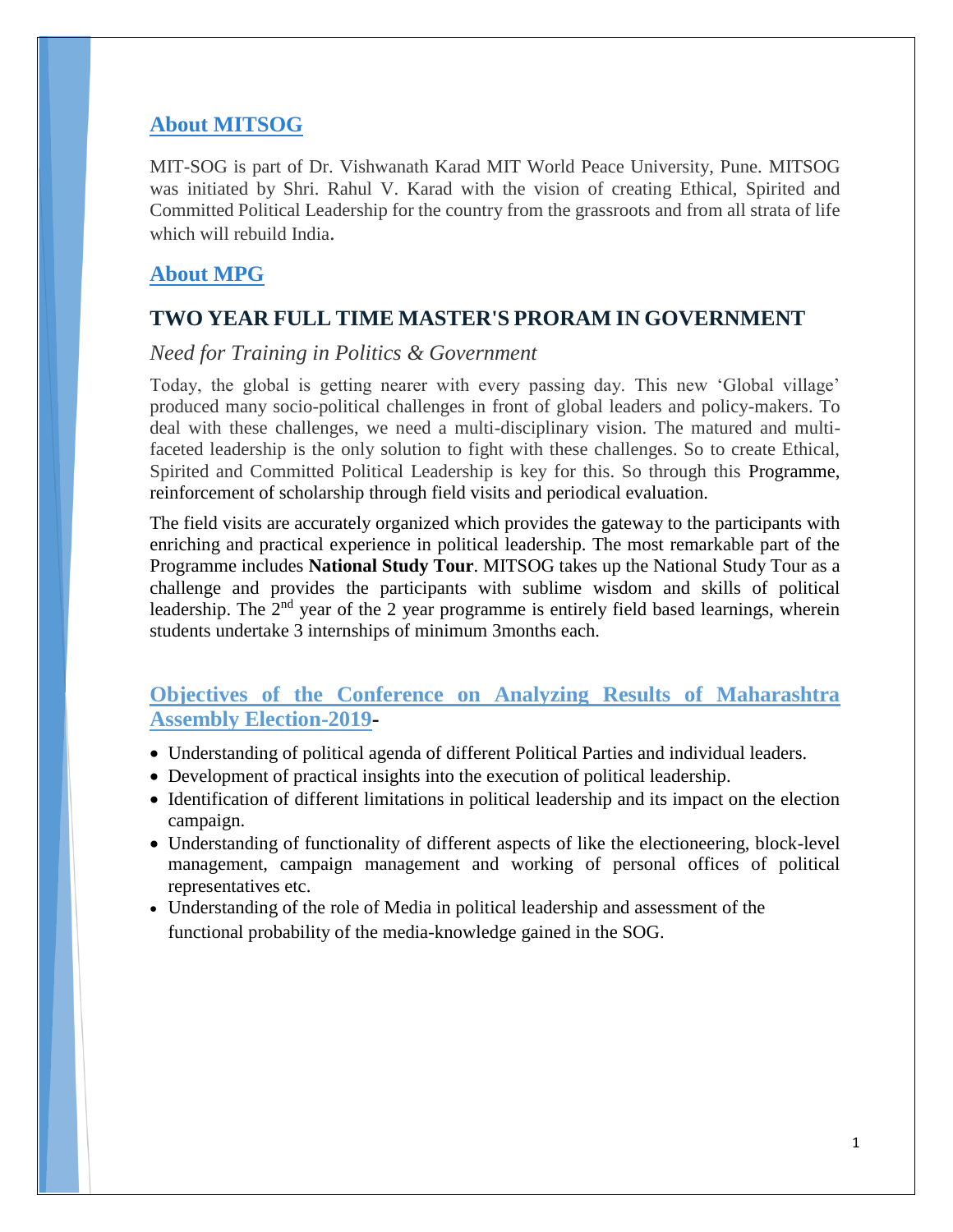#### **About MITSOG**

MIT-SOG is part of Dr. Vishwanath Karad MIT World Peace University, Pune. MITSOG was initiated by Shri. Rahul V. Karad with the vision of creating Ethical, Spirited and Committed Political Leadership for the country from the grassroots and from all strata of life which will rebuild India.

#### **About MPG**

#### **TWO YEAR FULL TIME MASTER'S PRORAM IN GOVERNMENT**

#### *Need for Training in Politics & Government*

Today, the global is getting nearer with every passing day. This new 'Global village' produced many socio-political challenges in front of global leaders and policy-makers. To deal with these challenges, we need a multi-disciplinary vision. The matured and multifaceted leadership is the only solution to fight with these challenges. So to create Ethical, Spirited and Committed Political Leadership is key for this. So through this Programme, reinforcement of scholarship through field visits and periodical evaluation.

The field visits are accurately organized which provides the gateway to the participants with enriching and practical experience in political leadership. The most remarkable part of the Programme includes **National Study Tour**. MITSOG takes up the National Study Tour as a challenge and provides the participants with sublime wisdom and skills of political leadership. The  $2<sup>nd</sup>$  year of the 2 year programme is entirely field based learnings, wherein students undertake 3 internships of minimum 3months each.

#### **Objectives of the Conference on Analyzing Results of Maharashtra Assembly Election-2019-**

- Understanding of political agenda of different Political Parties and individual leaders.
- Development of practical insights into the execution of political leadership.
- Identification of different limitations in political leadership and its impact on the election campaign.
- Understanding of functionality of different aspects of like the electioneering, block-level management, campaign management and working of personal offices of political representatives etc.
- Understanding of the role of Media in political leadership and assessment of the functional probability of the media-knowledge gained in the SOG.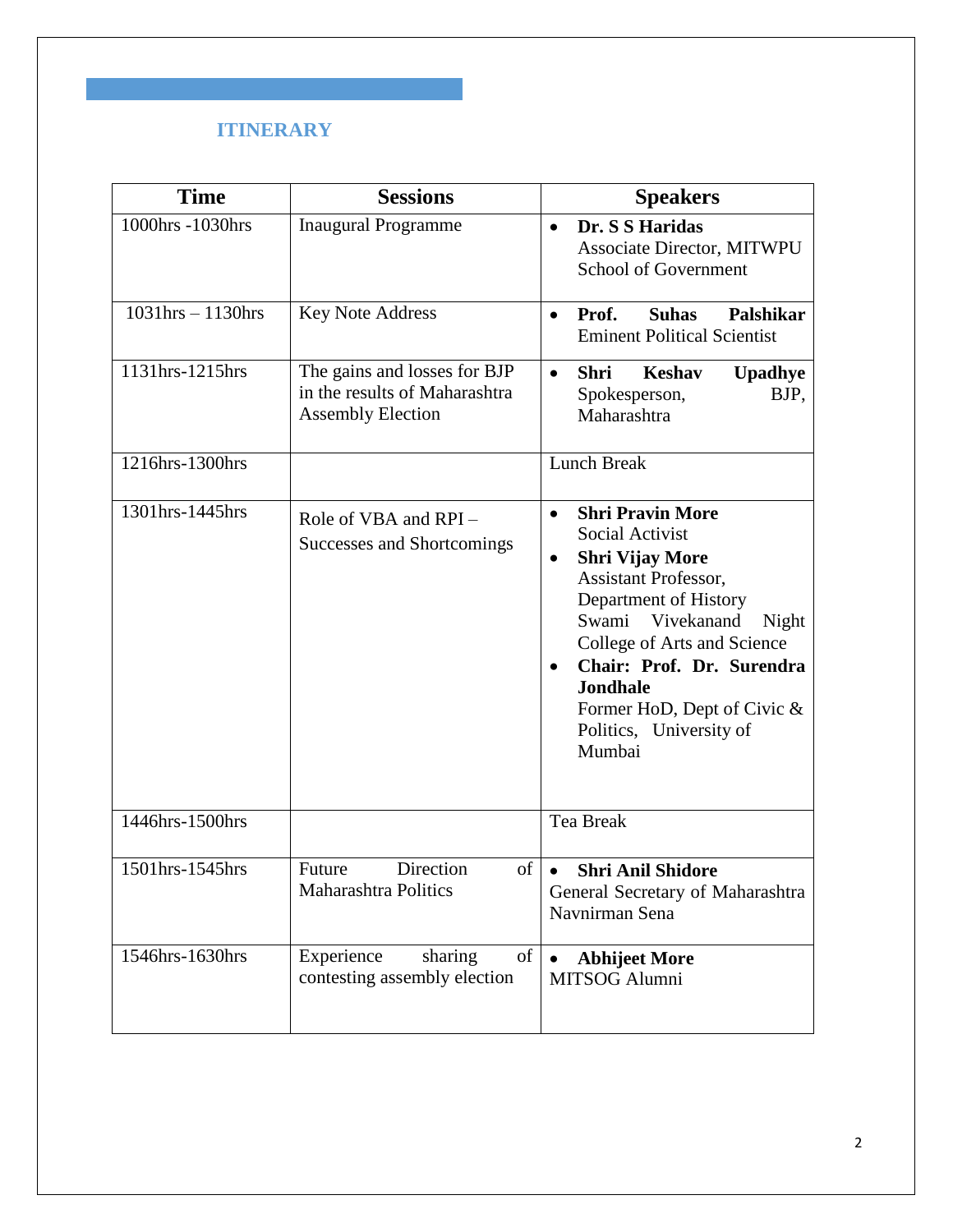#### **ITINERARY**

| <b>Time</b>            | <b>Sessions</b>                                                                           | <b>Speakers</b>                                                                                                                                                                                                                                                                                                                              |
|------------------------|-------------------------------------------------------------------------------------------|----------------------------------------------------------------------------------------------------------------------------------------------------------------------------------------------------------------------------------------------------------------------------------------------------------------------------------------------|
| 1000hrs -1030hrs       | <b>Inaugural Programme</b>                                                                | Dr. S S Haridas<br>$\bullet$<br>Associate Director, MITWPU<br>School of Government                                                                                                                                                                                                                                                           |
| $1031$ hrs $-1130$ hrs | <b>Key Note Address</b>                                                                   | Prof.<br><b>Suhas</b><br>Palshikar<br>$\bullet$<br><b>Eminent Political Scientist</b>                                                                                                                                                                                                                                                        |
| 1131hrs-1215hrs        | The gains and losses for BJP<br>in the results of Maharashtra<br><b>Assembly Election</b> | <b>Shri</b><br><b>Keshav</b><br><b>Upadhye</b><br>$\bullet$<br>Spokesperson,<br>BJP,<br>Maharashtra                                                                                                                                                                                                                                          |
| 1216hrs-1300hrs        |                                                                                           | <b>Lunch Break</b>                                                                                                                                                                                                                                                                                                                           |
| 1301hrs-1445hrs        | Role of VBA and RPI-<br>Successes and Shortcomings                                        | <b>Shri Pravin More</b><br>$\bullet$<br>Social Activist<br><b>Shri Vijay More</b><br>$\bullet$<br>Assistant Professor,<br>Department of History<br>Swami Vivekanand<br>Night<br>College of Arts and Science<br>Chair: Prof. Dr. Surendra<br>$\bullet$<br><b>Jondhale</b><br>Former HoD, Dept of Civic &<br>Politics, University of<br>Mumbai |
| 1446hrs-1500hrs        |                                                                                           | Tea Break                                                                                                                                                                                                                                                                                                                                    |
| 1501hrs-1545hrs        | Direction<br>Future<br>of<br>Maharashtra Politics                                         | <b>Shri Anil Shidore</b><br>$\bullet$<br>General Secretary of Maharashtra<br>Navnirman Sena                                                                                                                                                                                                                                                  |
| 1546hrs-1630hrs        | Experience<br>of<br>sharing<br>contesting assembly election                               | <b>Abhijeet More</b><br>MITSOG Alumni                                                                                                                                                                                                                                                                                                        |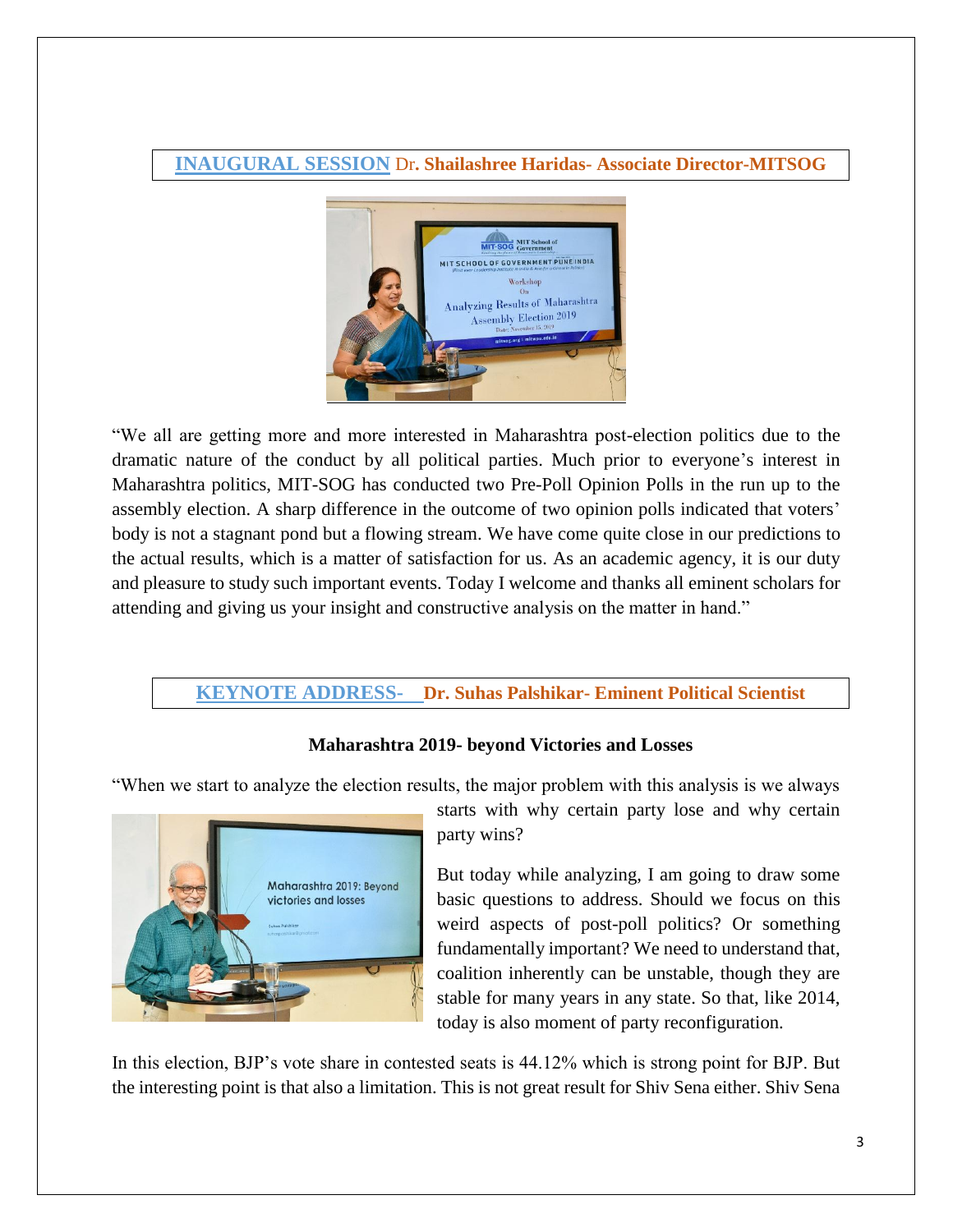#### **INAUGURAL SESSION** Dr**. Shailashree Haridas- Associate Director-MITSOG**



"We all are getting more and more interested in Maharashtra post-election politics due to the dramatic nature of the conduct by all political parties. Much prior to everyone's interest in Maharashtra politics, MIT-SOG has conducted two Pre-Poll Opinion Polls in the run up to the assembly election. A sharp difference in the outcome of two opinion polls indicated that voters' body is not a stagnant pond but a flowing stream. We have come quite close in our predictions to the actual results, which is a matter of satisfaction for us. As an academic agency, it is our duty and pleasure to study such important events. Today I welcome and thanks all eminent scholars for attending and giving us your insight and constructive analysis on the matter in hand."

#### **KEYNOTE ADDRESS- Dr. Suhas Palshikar- Eminent Political Scientist**

#### **Maharashtra 2019- beyond Victories and Losses**

"When we start to analyze the election results, the major problem with this analysis is we always



starts with why certain party lose and why certain party wins?

But today while analyzing, I am going to draw some basic questions to address. Should we focus on this weird aspects of post-poll politics? Or something fundamentally important? We need to understand that, coalition inherently can be unstable, though they are stable for many years in any state. So that, like 2014, today is also moment of party reconfiguration.

In this election, BJP's vote share in contested seats is 44.12% which is strong point for BJP. But the interesting point is that also a limitation. This is not great result for Shiv Sena either. Shiv Sena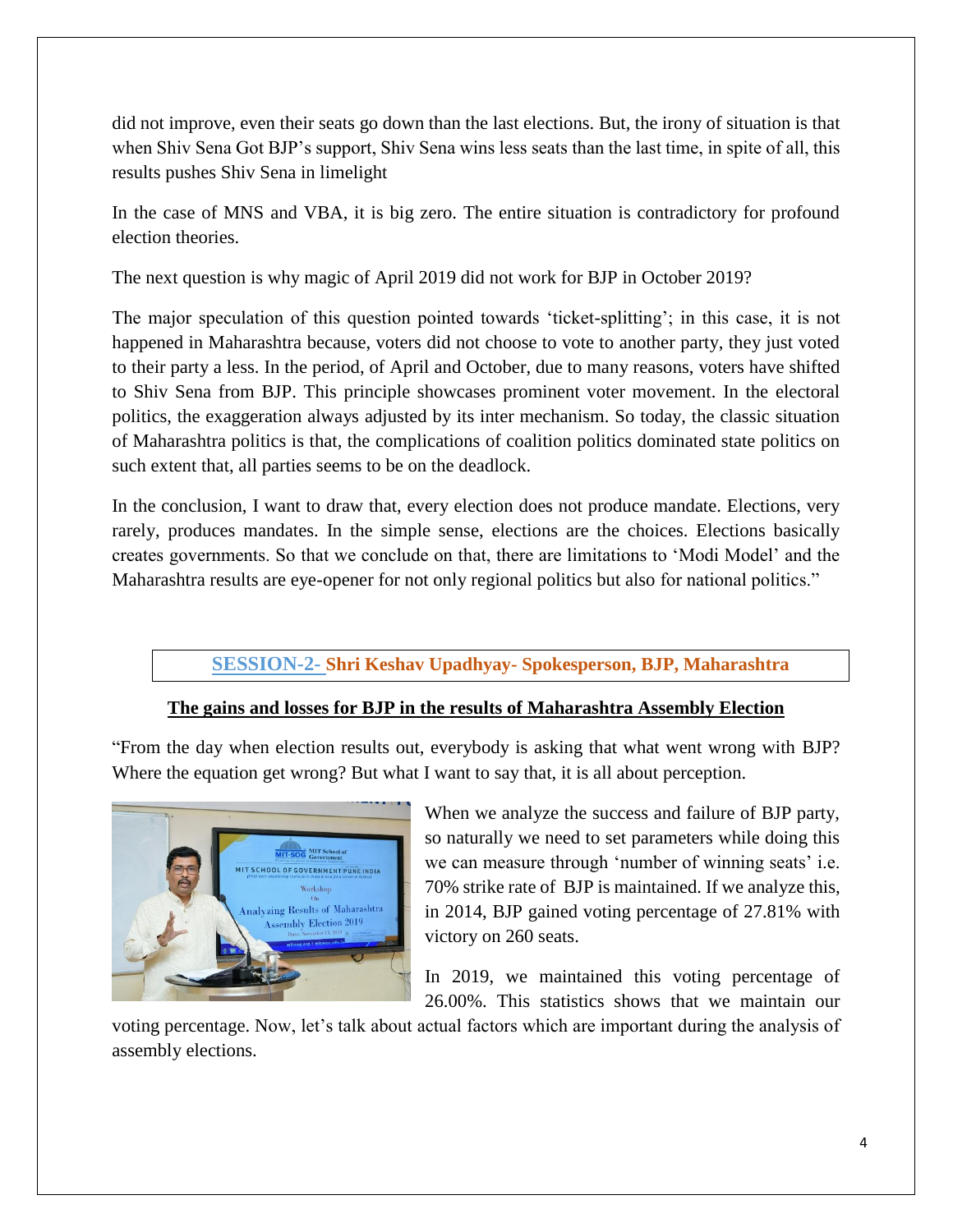did not improve, even their seats go down than the last elections. But, the irony of situation is that when Shiv Sena Got BJP's support, Shiv Sena wins less seats than the last time, in spite of all, this results pushes Shiv Sena in limelight

In the case of MNS and VBA, it is big zero. The entire situation is contradictory for profound election theories.

The next question is why magic of April 2019 did not work for BJP in October 2019?

The major speculation of this question pointed towards 'ticket-splitting'; in this case, it is not happened in Maharashtra because, voters did not choose to vote to another party, they just voted to their party a less. In the period, of April and October, due to many reasons, voters have shifted to Shiv Sena from BJP. This principle showcases prominent voter movement. In the electoral politics, the exaggeration always adjusted by its inter mechanism. So today, the classic situation of Maharashtra politics is that, the complications of coalition politics dominated state politics on such extent that, all parties seems to be on the deadlock.

In the conclusion, I want to draw that, every election does not produce mandate. Elections, very rarely, produces mandates. In the simple sense, elections are the choices. Elections basically creates governments. So that we conclude on that, there are limitations to 'Modi Model' and the Maharashtra results are eye-opener for not only regional politics but also for national politics."

#### **SESSION-2- Shri Keshav Upadhyay- Spokesperson, BJP, Maharashtra**

#### **The gains and losses for BJP in the results of Maharashtra Assembly Election**

"From the day when election results out, everybody is asking that what went wrong with BJP? Where the equation get wrong? But what I want to say that, it is all about perception.



When we analyze the success and failure of BJP party, so naturally we need to set parameters while doing this we can measure through 'number of winning seats' i.e. 70% strike rate of BJP is maintained. If we analyze this, in 2014, BJP gained voting percentage of 27.81% with victory on 260 seats.

In 2019, we maintained this voting percentage of 26.00%. This statistics shows that we maintain our

voting percentage. Now, let's talk about actual factors which are important during the analysis of assembly elections.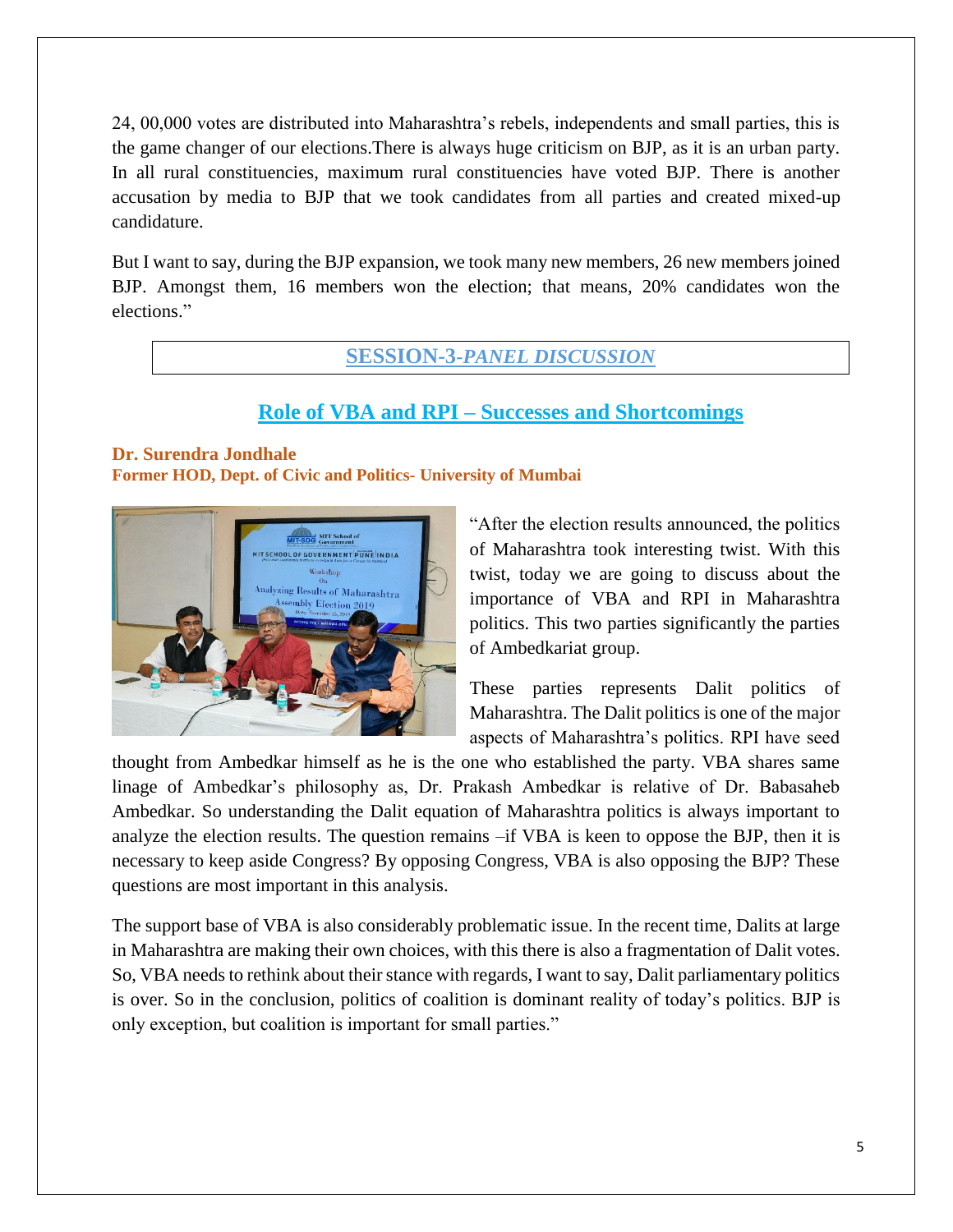24, 00,000 votes are distributed into Maharashtra's rebels, independents and small parties, this is the game changer of our elections.There is always huge criticism on BJP, as it is an urban party. In all rural constituencies, maximum rural constituencies have voted BJP. There is another accusation by media to BJP that we took candidates from all parties and created mixed-up candidature.

But I want to say, during the BJP expansion, we took many new members, 26 new members joined BJP. Amongst them, 16 members won the election; that means, 20% candidates won the elections."

#### **SESSION-3-***PANEL DISCUSSION*

#### **Role of VBA and RPI – Successes and Shortcomings**

#### **Dr. Surendra Jondhale Former HOD, Dept. of Civic and Politics- University of Mumbai**



"After the election results announced, the politics of Maharashtra took interesting twist. With this twist, today we are going to discuss about the importance of VBA and RPI in Maharashtra politics. This two parties significantly the parties of Ambedkariat group.

These parties represents Dalit politics of Maharashtra. The Dalit politics is one of the major aspects of Maharashtra's politics. RPI have seed

thought from Ambedkar himself as he is the one who established the party. VBA shares same linage of Ambedkar's philosophy as, Dr. Prakash Ambedkar is relative of Dr. Babasaheb Ambedkar. So understanding the Dalit equation of Maharashtra politics is always important to analyze the election results. The question remains –if VBA is keen to oppose the BJP, then it is necessary to keep aside Congress? By opposing Congress, VBA is also opposing the BJP? These questions are most important in this analysis.

The support base of VBA is also considerably problematic issue. In the recent time, Dalits at large in Maharashtra are making their own choices, with this there is also a fragmentation of Dalit votes. So, VBA needs to rethink about their stance with regards, I want to say, Dalit parliamentary politics is over. So in the conclusion, politics of coalition is dominant reality of today's politics. BJP is only exception, but coalition is important for small parties."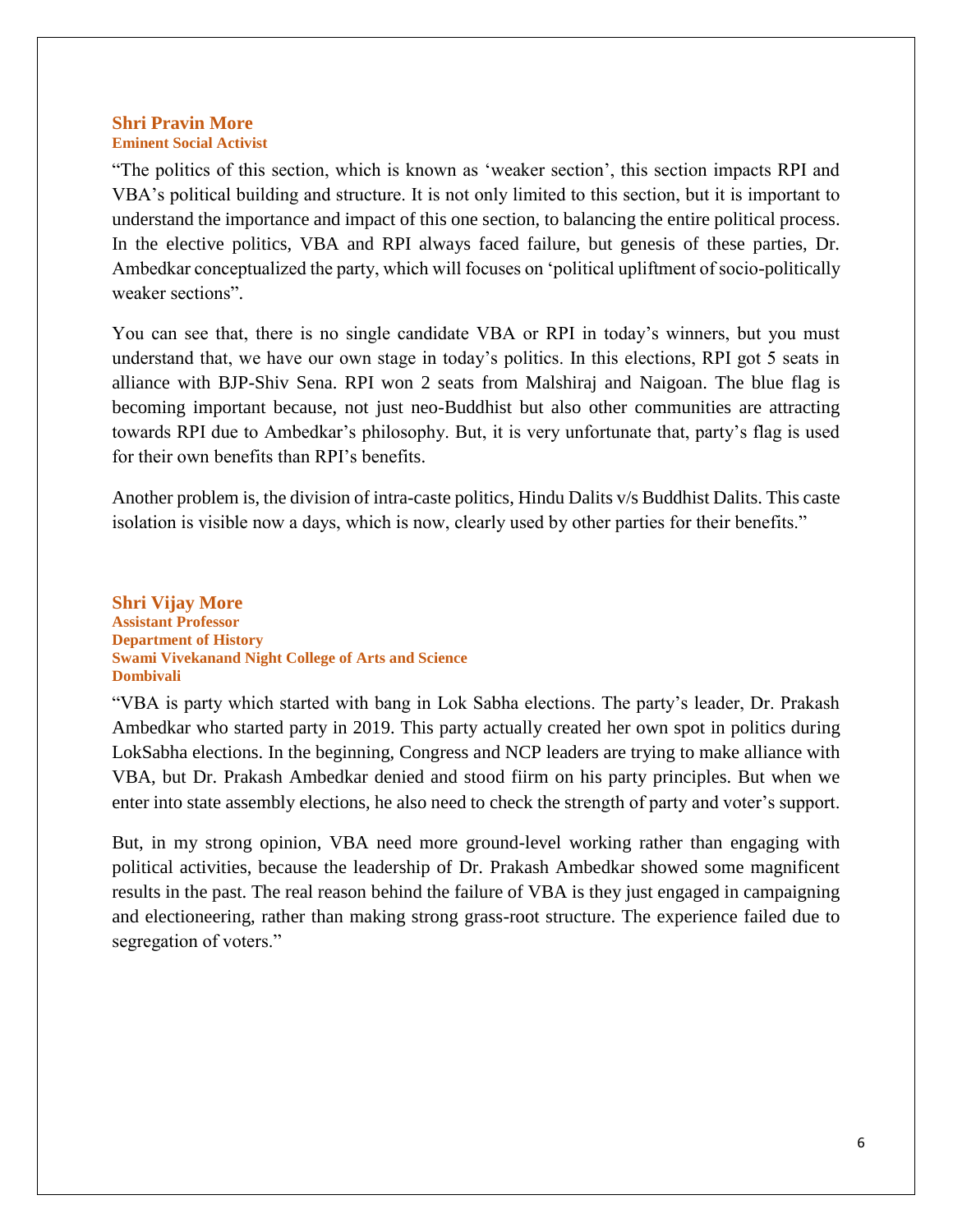#### **Shri Pravin More Eminent Social Activist**

"The politics of this section, which is known as 'weaker section', this section impacts RPI and VBA's political building and structure. It is not only limited to this section, but it is important to understand the importance and impact of this one section, to balancing the entire political process. In the elective politics, VBA and RPI always faced failure, but genesis of these parties, Dr. Ambedkar conceptualized the party, which will focuses on 'political upliftment of socio-politically weaker sections".

You can see that, there is no single candidate VBA or RPI in today's winners, but you must understand that, we have our own stage in today's politics. In this elections, RPI got 5 seats in alliance with BJP-Shiv Sena. RPI won 2 seats from Malshiraj and Naigoan. The blue flag is becoming important because, not just neo-Buddhist but also other communities are attracting towards RPI due to Ambedkar's philosophy. But, it is very unfortunate that, party's flag is used for their own benefits than RPI's benefits.

Another problem is, the division of intra-caste politics, Hindu Dalits v/s Buddhist Dalits. This caste isolation is visible now a days, which is now, clearly used by other parties for their benefits."

**Shri Vijay More Assistant Professor Department of History Swami Vivekanand Night College of Arts and Science Dombivali**

"VBA is party which started with bang in Lok Sabha elections. The party's leader, Dr. Prakash Ambedkar who started party in 2019. This party actually created her own spot in politics during LokSabha elections. In the beginning, Congress and NCP leaders are trying to make alliance with VBA, but Dr. Prakash Ambedkar denied and stood fiirm on his party principles. But when we enter into state assembly elections, he also need to check the strength of party and voter's support.

But, in my strong opinion, VBA need more ground-level working rather than engaging with political activities, because the leadership of Dr. Prakash Ambedkar showed some magnificent results in the past. The real reason behind the failure of VBA is they just engaged in campaigning and electioneering, rather than making strong grass-root structure. The experience failed due to segregation of voters."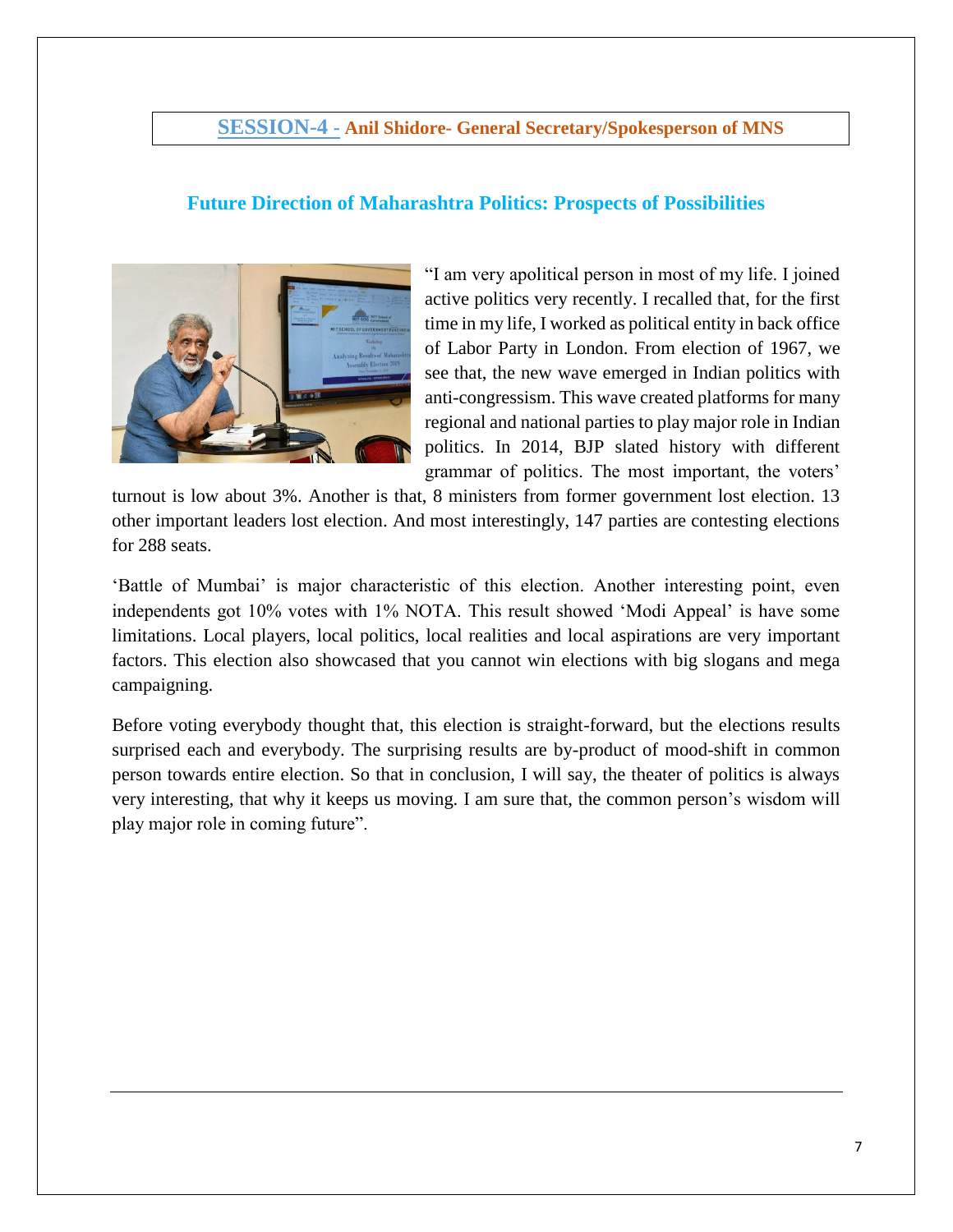#### **SESSION-4 - Anil Shidore- General Secretary/Spokesperson of MNS**

#### **Future Direction of Maharashtra Politics: Prospects of Possibilities**



"I am very apolitical person in most of my life. I joined active politics very recently. I recalled that, for the first time in my life, I worked as political entity in back office of Labor Party in London. From election of 1967, we see that, the new wave emerged in Indian politics with anti-congressism. This wave created platforms for many regional and national parties to play major role in Indian politics. In 2014, BJP slated history with different grammar of politics. The most important, the voters'

turnout is low about 3%. Another is that, 8 ministers from former government lost election. 13 other important leaders lost election. And most interestingly, 147 parties are contesting elections for 288 seats.

'Battle of Mumbai' is major characteristic of this election. Another interesting point, even independents got 10% votes with 1% NOTA. This result showed 'Modi Appeal' is have some limitations. Local players, local politics, local realities and local aspirations are very important factors. This election also showcased that you cannot win elections with big slogans and mega campaigning.

Before voting everybody thought that, this election is straight-forward, but the elections results surprised each and everybody. The surprising results are by-product of mood-shift in common person towards entire election. So that in conclusion, I will say, the theater of politics is always very interesting, that why it keeps us moving. I am sure that, the common person's wisdom will play major role in coming future".